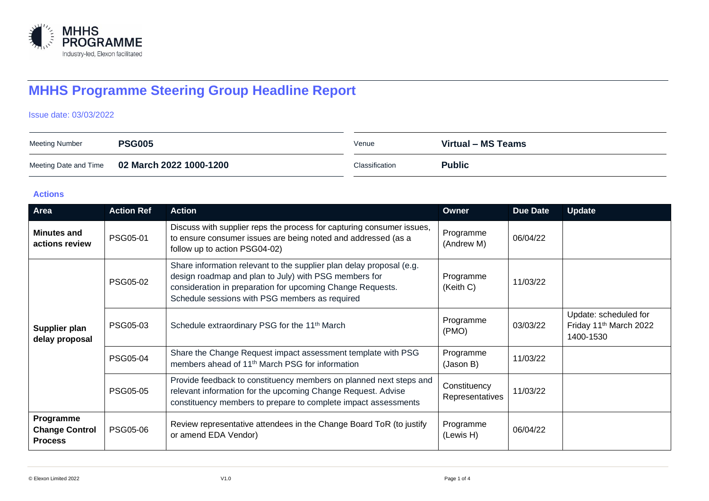

# **MHHS Programme Steering Group Headline Report**

#### Issue date: 03/03/2022

| <b>Meeting Number</b> | <b>PSG005</b>                                 | Venue          | Virtual – MS Teams |
|-----------------------|-----------------------------------------------|----------------|--------------------|
|                       | Meeting Date and Time 02 March 2022 1000-1200 | Classification | <b>Public</b>      |

#### **Actions**

| Area                                                 | <b>Action Ref</b> | <b>Action</b>                                                                                                                                                                                                                                 | Owner                           | <b>Due Date</b> | <b>Update</b>                                                            |
|------------------------------------------------------|-------------------|-----------------------------------------------------------------------------------------------------------------------------------------------------------------------------------------------------------------------------------------------|---------------------------------|-----------------|--------------------------------------------------------------------------|
| <b>Minutes and</b><br>actions review                 | PSG05-01          | Discuss with supplier reps the process for capturing consumer issues,<br>to ensure consumer issues are being noted and addressed (as a<br>follow up to action PSG04-02)                                                                       | Programme<br>(Andrew M)         | 06/04/22        |                                                                          |
| Supplier plan<br>delay proposal                      | <b>PSG05-02</b>   | Share information relevant to the supplier plan delay proposal (e.g.<br>design roadmap and plan to July) with PSG members for<br>consideration in preparation for upcoming Change Requests.<br>Schedule sessions with PSG members as required | Programme<br>(Keith C)          | 11/03/22        |                                                                          |
|                                                      | PSG05-03          | Schedule extraordinary PSG for the 11 <sup>th</sup> March                                                                                                                                                                                     | Programme<br>(PMO)              | 03/03/22        | Update: scheduled for<br>Friday 11 <sup>th</sup> March 2022<br>1400-1530 |
|                                                      | PSG05-04          | Share the Change Request impact assessment template with PSG<br>members ahead of 11 <sup>th</sup> March PSG for information                                                                                                                   | Programme<br>(Jason B)          | 11/03/22        |                                                                          |
|                                                      | <b>PSG05-05</b>   | Provide feedback to constituency members on planned next steps and<br>relevant information for the upcoming Change Request. Advise<br>constituency members to prepare to complete impact assessments                                          | Constituency<br>Representatives | 11/03/22        |                                                                          |
| Programme<br><b>Change Control</b><br><b>Process</b> | <b>PSG05-06</b>   | Review representative attendees in the Change Board ToR (to justify<br>or amend EDA Vendor)                                                                                                                                                   | Programme<br>(Lewis H)          | 06/04/22        |                                                                          |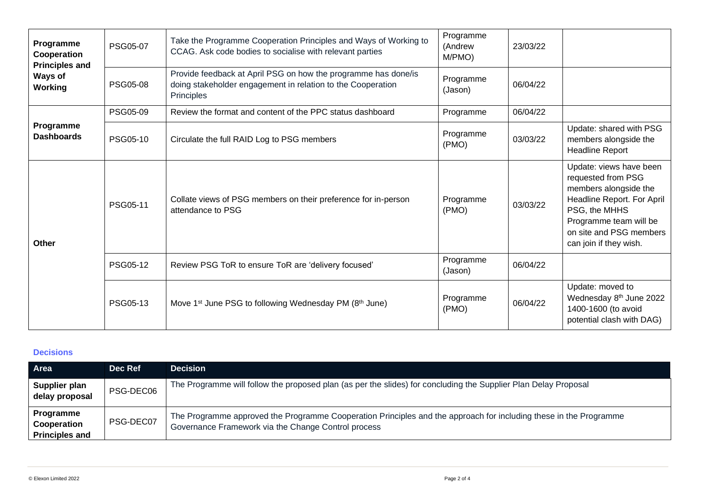| Programme<br>Cooperation<br><b>Principles and</b><br>Ways of<br>Working | <b>PSG05-07</b> | Take the Programme Cooperation Principles and Ways of Working to<br>CCAG. Ask code bodies to socialise with relevant parties                | Programme<br>(Andrew<br>M/PMO) | 23/03/22 |                                                                                                                                                                                                      |
|-------------------------------------------------------------------------|-----------------|---------------------------------------------------------------------------------------------------------------------------------------------|--------------------------------|----------|------------------------------------------------------------------------------------------------------------------------------------------------------------------------------------------------------|
|                                                                         | <b>PSG05-08</b> | Provide feedback at April PSG on how the programme has done/is<br>doing stakeholder engagement in relation to the Cooperation<br>Principles | Programme<br>(Jason)           | 06/04/22 |                                                                                                                                                                                                      |
|                                                                         | PSG05-09        | Review the format and content of the PPC status dashboard                                                                                   | Programme                      | 06/04/22 |                                                                                                                                                                                                      |
| Programme<br><b>Dashboards</b>                                          | <b>PSG05-10</b> | Circulate the full RAID Log to PSG members                                                                                                  | Programme<br>(PMO)             | 03/03/22 | Update: shared with PSG<br>members alongside the<br><b>Headline Report</b>                                                                                                                           |
| <b>Other</b>                                                            | PSG05-11        | Collate views of PSG members on their preference for in-person<br>attendance to PSG                                                         | Programme<br>(PMO)             | 03/03/22 | Update: views have been<br>requested from PSG<br>members alongside the<br>Headline Report. For April<br>PSG, the MHHS<br>Programme team will be<br>on site and PSG members<br>can join if they wish. |
|                                                                         | PSG05-12        | Review PSG ToR to ensure ToR are 'delivery focused'                                                                                         | Programme<br>(Jason)           | 06/04/22 |                                                                                                                                                                                                      |
|                                                                         | PSG05-13        | Move 1 <sup>st</sup> June PSG to following Wednesday PM (8 <sup>th</sup> June)                                                              | Programme<br>(PMO)             | 06/04/22 | Update: moved to<br>Wednesday 8 <sup>th</sup> June 2022<br>1400-1600 (to avoid<br>potential clash with DAG)                                                                                          |

## **Decisions**

| Area                                              | Dec Ref   | <b>Decision</b>                                                                                                                                                          |
|---------------------------------------------------|-----------|--------------------------------------------------------------------------------------------------------------------------------------------------------------------------|
| Supplier plan<br>delay proposal                   | PSG-DEC06 | The Programme will follow the proposed plan (as per the slides) for concluding the Supplier Plan Delay Proposal                                                          |
| Programme<br>Cooperation<br><b>Principles and</b> | PSG-DEC07 | The Programme approved the Programme Cooperation Principles and the approach for including these in the Programme<br>Governance Framework via the Change Control process |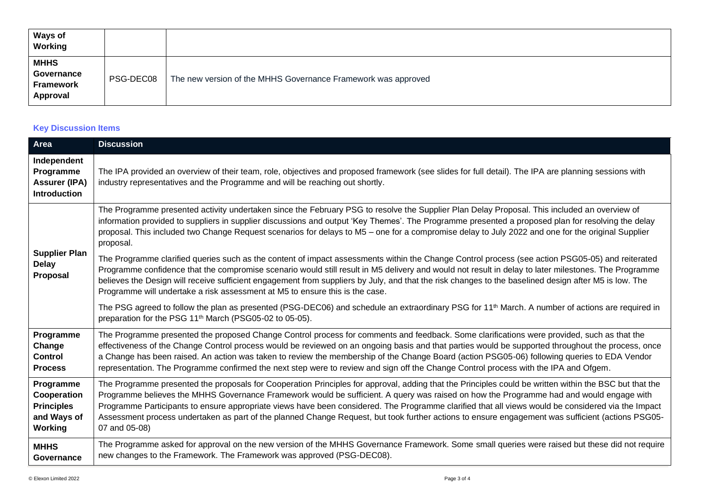| <b>Ways of</b><br>Working                          |           |                                                               |
|----------------------------------------------------|-----------|---------------------------------------------------------------|
| <b>MHHS</b><br>Governance<br>Framework<br>Approval | PSG-DEC08 | The new version of the MHHS Governance Framework was approved |

## **Key Discussion Items**

| Area                                                                    | <b>Discussion</b>                                                                                                                                                                                                                                                                                                                                                                                                                                                                                                                                                                                                             |
|-------------------------------------------------------------------------|-------------------------------------------------------------------------------------------------------------------------------------------------------------------------------------------------------------------------------------------------------------------------------------------------------------------------------------------------------------------------------------------------------------------------------------------------------------------------------------------------------------------------------------------------------------------------------------------------------------------------------|
| Independent<br>Programme<br><b>Assurer (IPA)</b><br><b>Introduction</b> | The IPA provided an overview of their team, role, objectives and proposed framework (see slides for full detail). The IPA are planning sessions with<br>industry representatives and the Programme and will be reaching out shortly.                                                                                                                                                                                                                                                                                                                                                                                          |
| <b>Supplier Plan</b><br><b>Delay</b><br><b>Proposal</b>                 | The Programme presented activity undertaken since the February PSG to resolve the Supplier Plan Delay Proposal. This included an overview of<br>information provided to suppliers in supplier discussions and output 'Key Themes'. The Programme presented a proposed plan for resolving the delay<br>proposal. This included two Change Request scenarios for delays to M5 - one for a compromise delay to July 2022 and one for the original Supplier<br>proposal.                                                                                                                                                          |
|                                                                         | The Programme clarified queries such as the content of impact assessments within the Change Control process (see action PSG05-05) and reiterated<br>Programme confidence that the compromise scenario would still result in M5 delivery and would not result in delay to later milestones. The Programme<br>believes the Design will receive sufficient engagement from suppliers by July, and that the risk changes to the baselined design after M5 is low. The<br>Programme will undertake a risk assessment at M5 to ensure this is the case.                                                                             |
|                                                                         | The PSG agreed to follow the plan as presented (PSG-DEC06) and schedule an extraordinary PSG for 11 <sup>th</sup> March. A number of actions are required in<br>preparation for the PSG 11 <sup>th</sup> March (PSG05-02 to 05-05).                                                                                                                                                                                                                                                                                                                                                                                           |
| Programme<br>Change<br><b>Control</b><br><b>Process</b>                 | The Programme presented the proposed Change Control process for comments and feedback. Some clarifications were provided, such as that the<br>effectiveness of the Change Control process would be reviewed on an ongoing basis and that parties would be supported throughout the process, once<br>a Change has been raised. An action was taken to review the membership of the Change Board (action PSG05-06) following queries to EDA Vendor<br>representation. The Programme confirmed the next step were to review and sign off the Change Control process with the IPA and Ofgem.                                      |
| Programme<br>Cooperation<br><b>Principles</b><br>and Ways of<br>Working | The Programme presented the proposals for Cooperation Principles for approval, adding that the Principles could be written within the BSC but that the<br>Programme believes the MHHS Governance Framework would be sufficient. A query was raised on how the Programme had and would engage with<br>Programme Participants to ensure appropriate views have been considered. The Programme clarified that all views would be considered via the Impact<br>Assessment process undertaken as part of the planned Change Request, but took further actions to ensure engagement was sufficient (actions PSG05-<br>07 and 05-08) |
| <b>MHHS</b><br>Governance                                               | The Programme asked for approval on the new version of the MHHS Governance Framework. Some small queries were raised but these did not require<br>new changes to the Framework. The Framework was approved (PSG-DEC08).                                                                                                                                                                                                                                                                                                                                                                                                       |